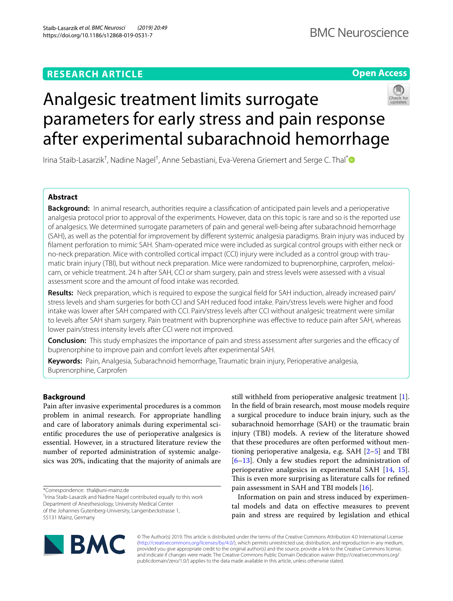**Open Access**

# Analgesic treatment limits surrogate parameters for early stress and pain response after experimental subarachnoid hemorrhage

Irina Staib-Lasarzik<sup>†</sup>, Nadine Nagel<sup>†</sup>, Anne Sebastiani, Eva-Verena Griemert and Serge C. Thal<sup>[\\*](http://orcid.org/0000-0002-1222-8729)</sup>

# **Abstract**

**Background:** In animal research, authorities require a classifcation of anticipated pain levels and a perioperative analgesia protocol prior to approval of the experiments. However, data on this topic is rare and so is the reported use of analgesics. We determined surrogate parameters of pain and general well-being after subarachnoid hemorrhage (SAH), as well as the potential for improvement by diferent systemic analgesia paradigms. Brain injury was induced by flament perforation to mimic SAH. Sham-operated mice were included as surgical control groups with either neck or no-neck preparation. Mice with controlled cortical impact (CCI) injury were included as a control group with traumatic brain injury (TBI), but without neck preparation. Mice were randomized to buprenorphine, carprofen, meloxicam, or vehicle treatment. 24 h after SAH, CCI or sham surgery, pain and stress levels were assessed with a visual assessment score and the amount of food intake was recorded.

**Results:** Neck preparation, which is required to expose the surgical feld for SAH induction, already increased pain/ stress levels and sham surgeries for both CCI and SAH reduced food intake. Pain/stress levels were higher and food intake was lower after SAH compared with CCI. Pain/stress levels after CCI without analgesic treatment were similar to levels after SAH sham surgery. Pain treatment with buprenorphine was efective to reduce pain after SAH, whereas lower pain/stress intensity levels after CCI were not improved.

Conclusion: This study emphasizes the importance of pain and stress assessment after surgeries and the efficacy of buprenorphine to improve pain and comfort levels after experimental SAH.

**Keywords:** Pain, Analgesia, Subarachnoid hemorrhage, Traumatic brain injury, Perioperative analgesia, Buprenorphine, Carprofen

# **Background**

Pain after invasive experimental procedures is a common problem in animal research. For appropriate handling and care of laboratory animals during experimental scientifc procedures the use of perioperative analgesics is essential. However, in a structured literature review the number of reported administration of systemic analgesics was 20%, indicating that the majority of animals are

\*Correspondence: thal@uni‑mainz.de

† Irina Staib-Lasarzik and Nadine Nagel contributed equally to this work Department of Anesthesiology, University Medical Center

of the Johannes Gutenberg-University, Langenbeckstrasse 1, 55131 Mainz, Germany

still withheld from perioperative analgesic treatment [\[1](#page-6-0)]. In the feld of brain research, most mouse models require a surgical procedure to induce brain injury, such as the subarachnoid hemorrhage (SAH) or the traumatic brain injury (TBI) models. A review of the literature showed that these procedures are often performed without mentioning perioperative analgesia, e.g. SAH  $[2-5]$  $[2-5]$  and TBI [[6–](#page-6-3)[13\]](#page-6-4). Only a few studies report the administration of perioperative analgesics in experimental SAH [[14,](#page-6-5) [15](#page-6-6)]. This is even more surprising as literature calls for refined pain assessment in SAH and TBI models [[16\]](#page-6-7).

Information on pain and stress induced by experimental models and data on efective measures to prevent pain and stress are required by legislation and ethical



© The Author(s) 2019. This article is distributed under the terms of the Creative Commons Attribution 4.0 International License [\(http://creativecommons.org/licenses/by/4.0/\)](http://creativecommons.org/licenses/by/4.0/), which permits unrestricted use, distribution, and reproduction in any medium, provided you give appropriate credit to the original author(s) and the source, provide a link to the Creative Commons license, and indicate if changes were made. The Creative Commons Public Domain Dedication waiver (http://creativecommons.org/ publicdomain/zero/1.0/) applies to the data made available in this article, unless otherwise stated.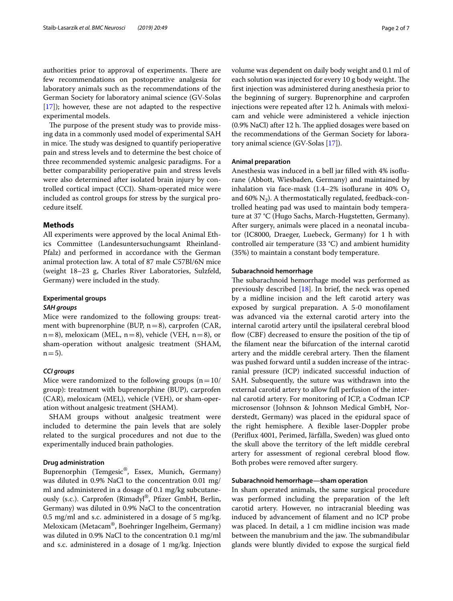authorities prior to approval of experiments. There are few recommendations on postoperative analgesia for laboratory animals such as the recommendations of the German Society for laboratory animal science (GV-Solas [[17\]](#page-6-8)); however, these are not adapted to the respective experimental models.

The purpose of the present study was to provide missing data in a commonly used model of experimental SAH in mice. The study was designed to quantify perioperative pain and stress levels and to determine the best choice of three recommended systemic analgesic paradigms. For a better comparability perioperative pain and stress levels were also determined after isolated brain injury by controlled cortical impact (CCI). Sham-operated mice were included as control groups for stress by the surgical procedure itself.

## **Methods**

All experiments were approved by the local Animal Ethics Committee (Landesuntersuchungsamt Rheinland-Pfalz) and performed in accordance with the German animal protection law. A total of 87 male C57Bl/6N mice (weight 18–23 g, Charles River Laboratories, Sulzfeld, Germany) were included in the study.

#### **Experimental groups**

## *SAH groups*

Mice were randomized to the following groups: treatment with buprenorphine (BUP,  $n=8$ ), carprofen (CAR,  $n=8$ ), meloxicam (MEL,  $n=8$ ), vehicle (VEH,  $n=8$ ), or sham-operation without analgesic treatment (SHAM,  $n=5$ ).

## *CCI groups*

Mice were randomized to the following groups  $(n=10/$ group): treatment with buprenorphine (BUP), carprofen (CAR), meloxicam (MEL), vehicle (VEH), or sham-operation without analgesic treatment (SHAM).

SHAM groups without analgesic treatment were included to determine the pain levels that are solely related to the surgical procedures and not due to the experimentally induced brain pathologies.

## **Drug administration**

Buprenorphin (Temgesic®, Essex, Munich, Germany) was diluted in 0.9% NaCl to the concentration 0.01 mg/ ml and administered in a dosage of 0.1 mg/kg subcutaneously (s.c.). Carprofen (Rimadyl®, Pfzer GmbH, Berlin, Germany) was diluted in 0.9% NaCl to the concentration 0.5 mg/ml and s.c. administered in a dosage of 5 mg/kg. Meloxicam (Metacam®, Boehringer Ingelheim, Germany) was diluted in 0.9% NaCl to the concentration 0.1 mg/ml and s.c. administered in a dosage of 1 mg/kg. Injection volume was dependent on daily body weight and 0.1 ml of each solution was injected for every 10 g body weight. The frst injection was administered during anesthesia prior to the beginning of surgery. Buprenorphine and carprofen injections were repeated after 12 h. Animals with meloxicam and vehicle were administered a vehicle injection (0.9% NaCl) after 12 h. The applied dosages were based on the recommendations of the German Society for laboratory animal science (GV-Solas [[17](#page-6-8)]).

#### **Animal preparation**

Anesthesia was induced in a bell jar flled with 4% isofurane (Abbott, Wiesbaden, Germany) and maintained by inhalation via face-mask  $(1.4-2\%$  isoflurane in 40% O<sub>2</sub> and 60%  $N_2$ ). A thermostatically regulated, feedback-controlled heating pad was used to maintain body temperature at 37 °C (Hugo Sachs, March-Hugstetten, Germany). After surgery, animals were placed in a neonatal incubator (IC8000, Draeger, Luebeck, Germany) for 1 h with controlled air temperature (33 °C) and ambient humidity (35%) to maintain a constant body temperature.

#### **Subarachnoid hemorrhage**

The subarachnoid hemorrhage model was performed as previously described [\[18](#page-6-9)]. In brief, the neck was opened by a midline incision and the left carotid artery was exposed by surgical preparation. A 5-0 monoflament was advanced via the external carotid artery into the internal carotid artery until the ipsilateral cerebral blood flow (CBF) decreased to ensure the position of the tip of the flament near the bifurcation of the internal carotid artery and the middle cerebral artery. Then the filament was pushed forward until a sudden increase of the intracranial pressure (ICP) indicated successful induction of SAH. Subsequently, the suture was withdrawn into the external carotid artery to allow full perfusion of the internal carotid artery. For monitoring of ICP, a Codman ICP microsensor (Johnson & Johnson Medical GmbH, Norderstedt, Germany) was placed in the epidural space of the right hemisphere. A fexible laser-Doppler probe (Perifux 4001, Perimed, Järfälla, Sweden) was glued onto the skull above the territory of the left middle cerebral artery for assessment of regional cerebral blood flow. Both probes were removed after surgery.

## **Subarachnoid hemorrhage—sham operation**

In sham operated animals, the same surgical procedure was performed including the preparation of the left carotid artery. However, no intracranial bleeding was induced by advancement of flament and no ICP probe was placed. In detail, a 1 cm midline incision was made between the manubrium and the jaw. The submandibular glands were bluntly divided to expose the surgical feld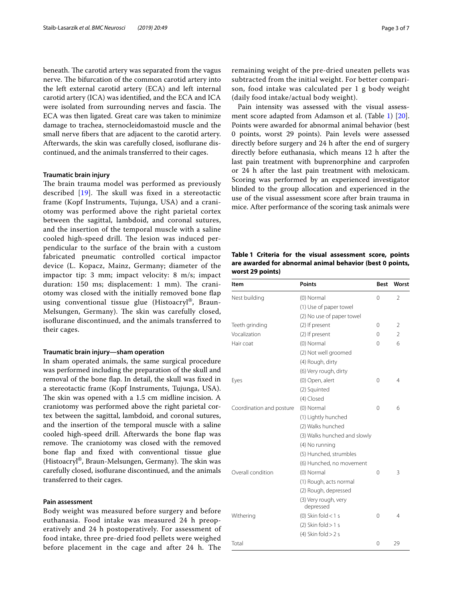beneath. The carotid artery was separated from the vagus nerve. The bifurcation of the common carotid artery into the left external carotid artery (ECA) and left internal carotid artery (ICA) was identifed, and the ECA and ICA were isolated from surrounding nerves and fascia. The ECA was then ligated. Great care was taken to minimize damage to trachea, sternocleidomastoid muscle and the small nerve fbers that are adjacent to the carotid artery. Afterwards, the skin was carefully closed, isofurane discontinued, and the animals transferred to their cages.

#### **Traumatic brain injury**

The brain trauma model was performed as previously described  $[19]$  $[19]$  $[19]$ . The skull was fixed in a stereotactic frame (Kopf Instruments, Tujunga, USA) and a craniotomy was performed above the right parietal cortex between the sagittal, lambdoid, and coronal sutures, and the insertion of the temporal muscle with a saline cooled high-speed drill. The lesion was induced perpendicular to the surface of the brain with a custom fabricated pneumatic controlled cortical impactor device (L. Kopacz, Mainz, Germany; diameter of the impactor tip: 3 mm; impact velocity: 8 m/s; impact duration: 150 ms; displacement: 1 mm). The craniotomy was closed with the initially removed bone fap using conventional tissue glue (Histoacryl®, Braun-Melsungen, Germany). The skin was carefully closed, isofurane discontinued, and the animals transferred to their cages.

#### **Traumatic brain injury—sham operation**

In sham operated animals, the same surgical procedure was performed including the preparation of the skull and removal of the bone fap. In detail, the skull was fxed in a stereotactic frame (Kopf Instruments, Tujunga, USA). The skin was opened with a 1.5 cm midline incision. A craniotomy was performed above the right parietal cortex between the sagittal, lambdoid, and coronal sutures, and the insertion of the temporal muscle with a saline cooled high-speed drill. Afterwards the bone fap was remove. The craniotomy was closed with the removed bone flap and fixed with conventional tissue glue (Histoacryl®, Braun-Melsungen, Germany). The skin was carefully closed, isofurane discontinued, and the animals transferred to their cages.

## **Pain assessment**

Body weight was measured before surgery and before euthanasia. Food intake was measured 24 h preoperatively and 24 h postoperatively. For assessment of food intake, three pre-dried food pellets were weighed before placement in the cage and after 24 h. The remaining weight of the pre-dried uneaten pellets was subtracted from the initial weight. For better comparison, food intake was calculated per 1 g body weight (daily food intake/actual body weight).

Pain intensity was assessed with the visual assessment score adapted from Adamson et al. (Table [1\)](#page-2-0) [\[20](#page-6-11)]. Points were awarded for abnormal animal behavior (best 0 points, worst 29 points). Pain levels were assessed directly before surgery and 24 h after the end of surgery directly before euthanasia, which means 12 h after the last pain treatment with buprenorphine and carprofen or 24 h after the last pain treatment with meloxicam. Scoring was performed by an experienced investigator blinded to the group allocation and experienced in the use of the visual assessment score after brain trauma in mice. After performance of the scoring task animals were

<span id="page-2-0"></span>**Table 1 Criteria for the visual assessment score, points are awarded for abnormal animal behavior (best 0 points, worst 29 points)**

| Item                     | <b>Points</b>                     | Best     | Worst          |
|--------------------------|-----------------------------------|----------|----------------|
| Nest building            | (0) Normal                        | 0        | $\overline{2}$ |
|                          | (1) Use of paper towel            |          |                |
|                          | (2) No use of paper towel         |          |                |
| Teeth grinding           | (2) If present                    | 0        | 2              |
| Vocalization             | (2) If present                    | 0        | $\overline{2}$ |
| Hair coat                | (0) Normal                        | 0        | 6              |
|                          | (2) Not well groomed              |          |                |
|                          | (4) Rough, dirty                  |          |                |
|                          | (6) Very rough, dirty             |          |                |
| Eyes                     | (0) Open, alert                   | 0        | 4              |
|                          | (2) Squinted                      |          |                |
|                          | (4) Closed                        |          |                |
| Coordination and posture | (0) Normal                        | $\Omega$ | 6              |
|                          | (1) Lightly hunched               |          |                |
|                          | (2) Walks hunched                 |          |                |
|                          | (3) Walks hunched and slowly      |          |                |
|                          | (4) No running                    |          |                |
|                          | (5) Hunched, strumbles            |          |                |
|                          | (6) Hunched, no movement          |          |                |
| Overall condition        | (0) Normal                        | $\Omega$ | 3              |
|                          | (1) Rough, acts normal            |          |                |
|                          | (2) Rough, depressed              |          |                |
|                          | (3) Very rough, very<br>depressed |          |                |
| Withering                | (0) Skin fold $<$ 1 s             | $\Omega$ | $\overline{4}$ |
|                          | $(2)$ Skin fold $> 1$ s           |          |                |
|                          | (4) Skin fold $> 2$ s             |          |                |
| Total                    |                                   | $\Omega$ | 29             |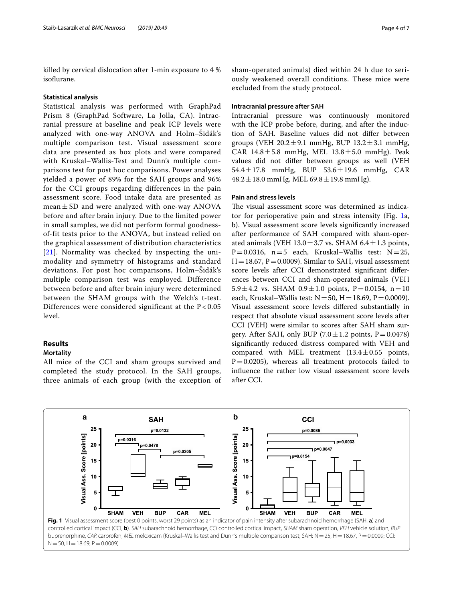killed by cervical dislocation after 1-min exposure to 4 % isoflurane.

#### **Statistical analysis**

Statistical analysis was performed with GraphPad Prism 8 (GraphPad Software, La Jolla, CA). Intracranial pressure at baseline and peak ICP levels were analyzed with one-way ANOVA and Holm–Šidák's multiple comparison test. Visual assessment score data are presented as box plots and were compared with Kruskal–Wallis-Test and Dunn's multiple comparisons test for post hoc comparisons. Power analyses yielded a power of 89% for the SAH groups and 96% for the CCI groups regarding differences in the pain assessment score. Food intake data are presented as  $mean \pm SD$  and were analyzed with one-way ANOVA before and after brain injury. Due to the limited power in small samples, we did not perform formal goodnessof-fit tests prior to the ANOVA, but instead relied on the graphical assessment of distribution characteristics [[21](#page-6-12)]. Normality was checked by inspecting the unimodality and symmetry of histograms and standard deviations. For post hoc comparisons, Holm–Šidák's multiple comparison test was employed. Difference between before and after brain injury were determined between the SHAM groups with the Welch's t-test. Differences were considered significant at the P < 0.05 level.

## **Results**

## **Mortality**

All mice of the CCI and sham groups survived and completed the study protocol. In the SAH groups, three animals of each group (with the exception of sham-operated animals) died within 24 h due to seriously weakened overall conditions. These mice were excluded from the study protocol.

## **Intracranial pressure after SAH**

Intracranial pressure was continuously monitored with the ICP probe before, during, and after the induction of SAH. Baseline values did not difer between groups (VEH  $20.2 \pm 9.1$  mmHg, BUP  $13.2 \pm 3.1$  mmHg, CAR  $14.8 \pm 5.8$  mmHg, MEL  $13.8 \pm 5.0$  mmHg). Peak values did not difer between groups as well (VEH 54.4±17.8 mmHg, BUP 53.6±19.6 mmHg, CAR  $48.2 \pm 18.0$  mmHg, MEL  $69.8 \pm 19.8$  mmHg).

## **Pain and stress levels**

The visual assessment score was determined as indicator for perioperative pain and stress intensity (Fig. [1a](#page-3-0), b). Visual assessment score levels signifcantly increased after performance of SAH compared with sham-operated animals (VEH  $13.0 \pm 3.7$  vs. SHAM  $6.4 \pm 1.3$  points,  $P=0.0316$ ,  $n=5$  each, Kruskal–Wallis test: N=25,  $H = 18.67$ ,  $P = 0.0009$ ). Similar to SAH, visual assessment score levels after CCI demonstrated signifcant diferences between CCI and sham-operated animals (VEH 5.9 $\pm$ 4.2 vs. SHAM 0.9 $\pm$ 1.0 points, P=0.0154, n=10 each, Kruskal–Wallis test:  $N = 50$ ,  $H = 18.69$ ,  $P = 0.0009$ ). Visual assessment score levels difered substantially in respect that absolute visual assessment score levels after CCI (VEH) were similar to scores after SAH sham surgery. After SAH, only BUP  $(7.0 \pm 1.2 \text{ points}, P=0.0478)$ signifcantly reduced distress compared with VEH and compared with MEL treatment  $(13.4 \pm 0.55$  points,  $P=0.0205$ ), whereas all treatment protocols failed to infuence the rather low visual assessment score levels after CCI.

<span id="page-3-0"></span>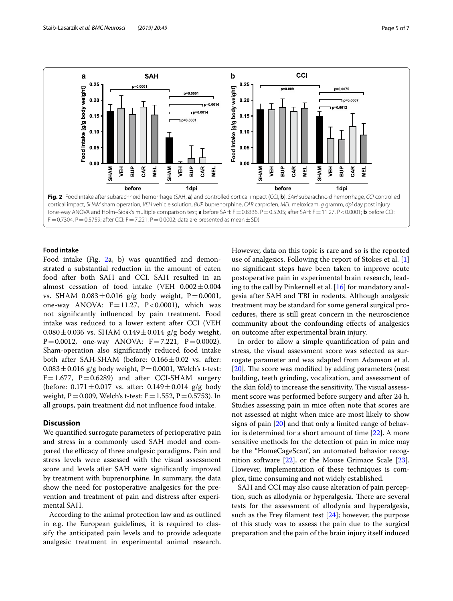

## <span id="page-4-0"></span>**Food intake**

Food intake (Fig. [2](#page-4-0)a, b) was quantifed and demonstrated a substantial reduction in the amount of eaten food after both SAH and CCI. SAH resulted in an almost cessation of food intake (VEH  $0.002 \pm 0.004$ vs. SHAM  $0.083 \pm 0.016$  g/g body weight, P=0.0001, one-way ANOVA:  $F=11.27$ ,  $P<0.0001$ ), which was not signifcantly infuenced by pain treatment. Food intake was reduced to a lower extent after CCI (VEH  $0.080 \pm 0.036$  vs. SHAM  $0.149 \pm 0.014$  g/g body weight,  $P=0.0012$ , one-way ANOVA:  $F=7.221$ ,  $P=0.0002$ ). Sham-operation also signifcantly reduced food intake both after SAH-SHAM (before:  $0.166 \pm 0.02$  vs. after:  $0.083 \pm 0.016$  g/g body weight, P=0.0001, Welch's t-test:  $F=1.677$ ,  $P=0.6289$ ) and after CCI-SHAM surgery (before:  $0.171 \pm 0.017$  vs. after:  $0.149 \pm 0.014$  g/g body weight,  $P = 0.009$ , Welch's t-test:  $F = 1.552$ ,  $P = 0.5753$ ). In all groups, pain treatment did not infuence food intake.

## **Discussion**

We quantifed surrogate parameters of perioperative pain and stress in a commonly used SAH model and compared the efficacy of three analgesic paradigms. Pain and stress levels were assessed with the visual assessment score and levels after SAH were signifcantly improved by treatment with buprenorphine. In summary, the data show the need for postoperative analgesics for the prevention and treatment of pain and distress after experimental SAH.

According to the animal protection law and as outlined in e.g. the European guidelines, it is required to classify the anticipated pain levels and to provide adequate analgesic treatment in experimental animal research. However, data on this topic is rare and so is the reported use of analgesics. Following the report of Stokes et al. [\[1](#page-6-0)] no signifcant steps have been taken to improve acute postoperative pain in experimental brain research, leading to the call by Pinkernell et al. [[16\]](#page-6-7) for mandatory analgesia after SAH and TBI in rodents. Although analgesic treatment may be standard for some general surgical procedures, there is still great concern in the neuroscience community about the confounding efects of analgesics on outcome after experimental brain injury.

In order to allow a simple quantifcation of pain and stress, the visual assessment score was selected as surrogate parameter and was adapted from Adamson et al. [[20\]](#page-6-11). The score was modified by adding parameters (nest building, teeth grinding, vocalization, and assessment of the skin fold) to increase the sensitivity. The visual assessment score was performed before surgery and after 24 h. Studies assessing pain in mice often note that scores are not assessed at night when mice are most likely to show signs of pain [[20](#page-6-11)] and that only a limited range of behavior is determined for a short amount of time [\[22](#page-6-13)]. A more sensitive methods for the detection of pain in mice may be the "HomeCageScan", an automated behavior recognition software [\[22](#page-6-13)], or the Mouse Grimace Scale [\[23](#page-6-14)]. However, implementation of these techniques is complex, time consuming and not widely established.

SAH and CCI may also cause alteration of pain perception, such as allodynia or hyperalgesia. There are several tests for the assessment of allodynia and hyperalgesia, such as the Frey flament test [[24\]](#page-6-15); however, the purpose of this study was to assess the pain due to the surgical preparation and the pain of the brain injury itself induced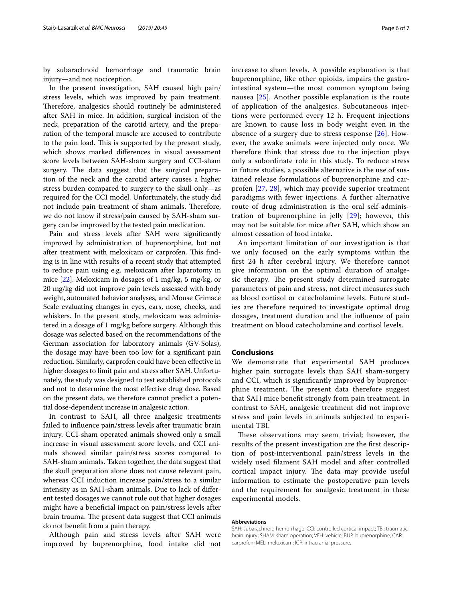by subarachnoid hemorrhage and traumatic brain injury—and not nociception.

In the present investigation, SAH caused high pain/ stress levels, which was improved by pain treatment. Therefore, analgesics should routinely be administered after SAH in mice. In addition, surgical incision of the neck, preparation of the carotid artery, and the preparation of the temporal muscle are accused to contribute to the pain load. This is supported by the present study, which shows marked diferences in visual assessment score levels between SAH-sham surgery and CCI-sham surgery. The data suggest that the surgical preparation of the neck and the carotid artery causes a higher stress burden compared to surgery to the skull only—as required for the CCI model. Unfortunately, the study did not include pain treatment of sham animals. Therefore, we do not know if stress/pain caused by SAH-sham surgery can be improved by the tested pain medication.

Pain and stress levels after SAH were signifcantly improved by administration of buprenorphine, but not after treatment with meloxicam or carprofen. This finding is in line with results of a recent study that attempted to reduce pain using e.g. meloxicam after laparotomy in mice [\[22\]](#page-6-13). Meloxicam in dosages of 1 mg/kg, 5 mg/kg, or 20 mg/kg did not improve pain levels assessed with body weight, automated behavior analyses, and Mouse Grimace Scale evaluating changes in eyes, ears, nose, cheeks, and whiskers. In the present study, meloxicam was administered in a dosage of 1 mg/kg before surgery. Although this dosage was selected based on the recommendations of the German association for laboratory animals (GV-Solas), the dosage may have been too low for a signifcant pain reduction. Similarly, carprofen could have been efective in higher dosages to limit pain and stress after SAH. Unfortunately, the study was designed to test established protocols and not to determine the most efective drug dose. Based on the present data, we therefore cannot predict a potential dose-dependent increase in analgesic action.

In contrast to SAH, all three analgesic treatments failed to infuence pain/stress levels after traumatic brain injury. CCI-sham operated animals showed only a small increase in visual assessment score levels, and CCI animals showed similar pain/stress scores compared to SAH-sham animals. Taken together, the data suggest that the skull preparation alone does not cause relevant pain, whereas CCI induction increase pain/stress to a similar intensity as in SAH-sham animals. Due to lack of diferent tested dosages we cannot rule out that higher dosages might have a benefcial impact on pain/stress levels after brain trauma. The present data suggest that CCI animals do not beneft from a pain therapy.

Although pain and stress levels after SAH were improved by buprenorphine, food intake did not increase to sham levels. A possible explanation is that buprenorphine, like other opioids, impairs the gastrointestinal system—the most common symptom being nausea [\[25\]](#page-6-16). Another possible explanation is the route of application of the analgesics. Subcutaneous injec-

tions were performed every 12 h. Frequent injections are known to cause loss in body weight even in the absence of a surgery due to stress response  $[26]$  $[26]$  $[26]$ . However, the awake animals were injected only once. We therefore think that stress due to the injection plays only a subordinate role in this study. To reduce stress in future studies, a possible alternative is the use of sustained release formulations of buprenorphine and carprofen [[27](#page-6-18), [28\]](#page-6-19), which may provide superior treatment paradigms with fewer injections. A further alternative route of drug administration is the oral self-administration of buprenorphine in jelly [[29\]](#page-6-20); however, this may not be suitable for mice after SAH, which show an almost cessation of food intake.

An important limitation of our investigation is that we only focused on the early symptoms within the frst 24 h after cerebral injury. We therefore cannot give information on the optimal duration of analgesic therapy. The present study determined surrogate parameters of pain and stress, not direct measures such as blood cortisol or catecholamine levels. Future studies are therefore required to investigate optimal drug dosages, treatment duration and the infuence of pain treatment on blood catecholamine and cortisol levels.

## **Conclusions**

We demonstrate that experimental SAH produces higher pain surrogate levels than SAH sham-surgery and CCI, which is signifcantly improved by buprenorphine treatment. The present data therefore suggest that SAH mice beneft strongly from pain treatment. In contrast to SAH, analgesic treatment did not improve stress and pain levels in animals subjected to experimental TBI.

These observations may seem trivial; however, the results of the present investigation are the frst description of post-interventional pain/stress levels in the widely used flament SAH model and after controlled cortical impact injury. The data may provide useful information to estimate the postoperative pain levels and the requirement for analgesic treatment in these experimental models.

#### **Abbreviations**

SAH: subarachnoid hemorrhage; CCI: controlled cortical impact; TBI: traumatic brain injury; SHAM: sham operation; VEH: vehicle; BUP: buprenorphine; CAR: carprofen; MEL: meloxicam; ICP: intracranial pressure.